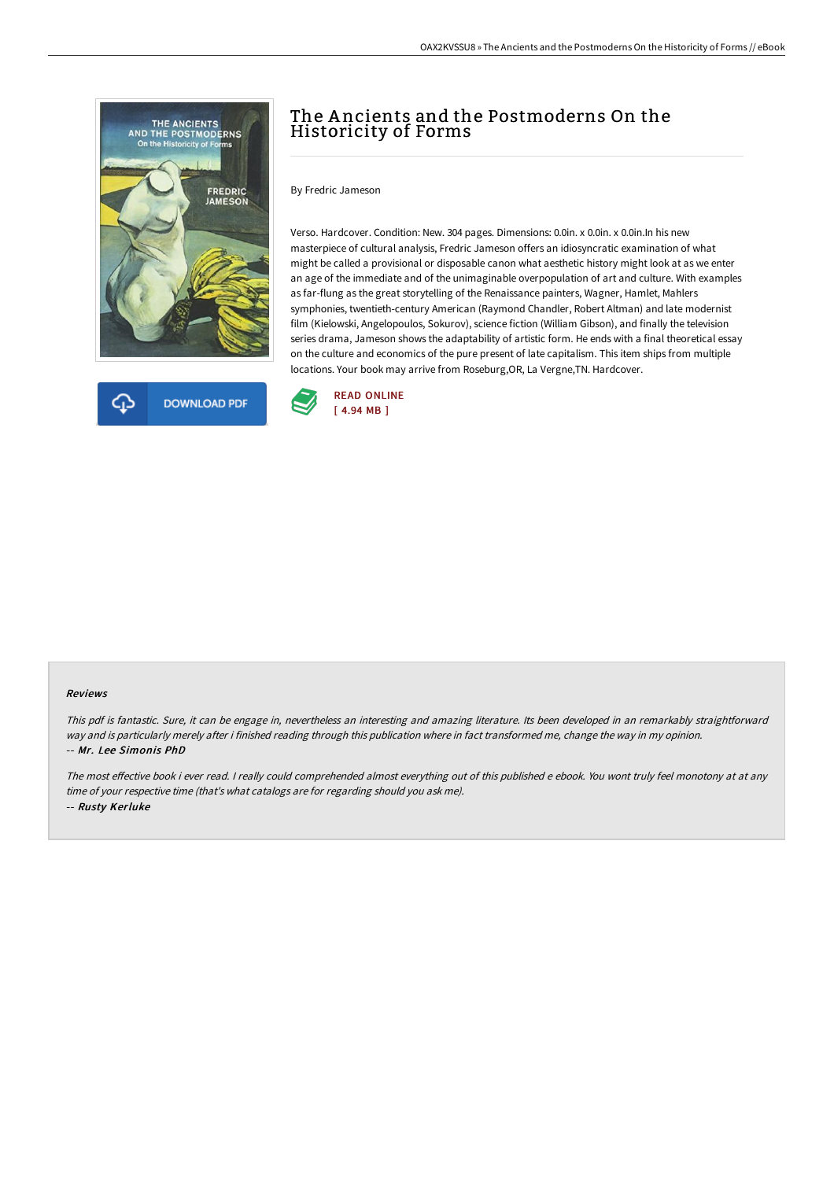



# The Ancients and the Postmoderns On the Historicity of Forms

By Fredric Jameson

Verso. Hardcover. Condition: New. 304 pages. Dimensions: 0.0in. x 0.0in. x 0.0in.In his new masterpiece of cultural analysis, Fredric Jameson offers an idiosyncratic examination of what might be called a provisional or disposable canon what aesthetic history might look at as we enter an age of the immediate and of the unimaginable overpopulation of art and culture. With examples as far-flung as the great storytelling of the Renaissance painters, Wagner, Hamlet, Mahlers symphonies, twentieth-century American (Raymond Chandler, Robert Altman) and late modernist film (Kielowski, Angelopoulos, Sokurov), science fiction (William Gibson), and finally the television series drama, Jameson shows the adaptability of artistic form. He ends with a final theoretical essay on the culture and economics of the pure present of late capitalism. This item ships from multiple locations. Your book may arrive from Roseburg,OR, La Vergne,TN. Hardcover.



#### Reviews

This pdf is fantastic. Sure, it can be engage in, nevertheless an interesting and amazing literature. Its been developed in an remarkably straightforward way and is particularly merely after i finished reading through this publication where in fact transformed me, change the way in my opinion. -- Mr. Lee Simonis PhD

The most effective book i ever read. I really could comprehended almost everything out of this published e ebook. You wont truly feel monotony at at any time of your respective time (that's what catalogs are for regarding should you ask me). -- Rusty Kerluke